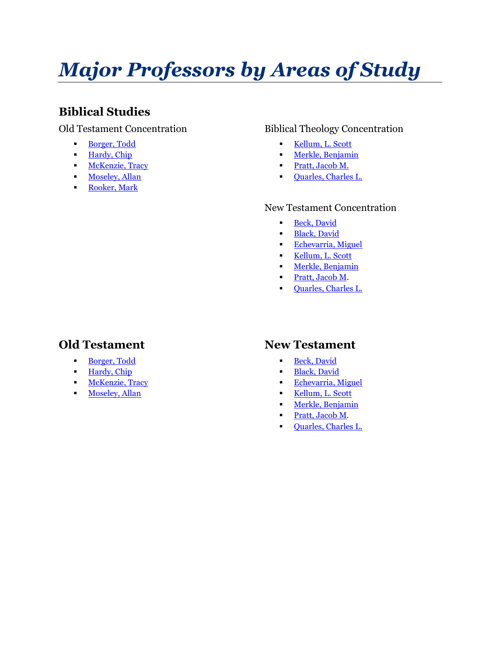# *Major Professors by Areas of Study*

# **Biblical Studies**

### Old Testament Concentration

- [Borger, Todd](#page-5-0)
- [Hardy, Chip](#page-6-0)
- **[McKenzie, Tracy](#page-10-0)**
- **Exercise** [Moseley, Allan](#page-11-0)
- Rooker, Mark

## Biblical Theology Concentration

- [Kellum, L. Scott](#page-9-0)
- **EXECUTE:** [Merkle, Benjamin](#page-11-1)
- [Pratt, Jacob M.](#page-12-0)
- [Quarles, Charles L.](#page-12-1)

#### New Testament Concentration

- **[Beck, David](#page-4-0)**
- **Elack**, David
- [Echevarria, Miguel](#page-6-1)
- [Kellum, L. Scott](#page-9-0)
- **Example 1** [Merkle, Benjamin](#page-11-1)
- **•** [Pratt, Jacob M.](#page-12-0)
- [Quarles, Charles L.](#page-12-1)

# **Old Testament**

- [Borger, Todd](#page-5-0)
- **Example [Hardy, Chip](#page-6-0)**
- **[McKenzie, Tracy](#page-10-0)**
- **·** [Moseley, Allan](#page-11-0)

## **New Testament**

- **[Beck, David](#page-4-0)**
- **·** [Black, David](#page-4-1)
- [Echevarria, Miguel](#page-6-1)
- [Kellum, L. Scott](#page-9-0)
- **I** [Merkle, Benjamin](#page-11-1)
- **•** [Pratt, Jacob M.](#page-12-0)
- [Quarles, Charles L.](#page-12-1)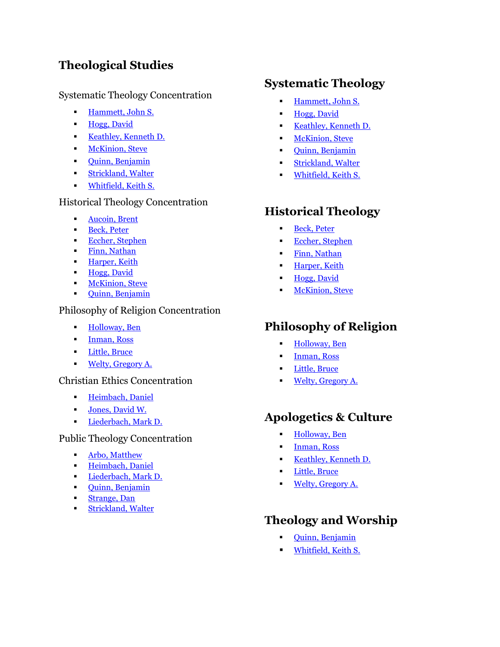# **Theological Studies**

## Systematic Theology Concentration

- **Example [Hammett, John S.](#page-6-2)**
- [Hogg, David](#page-7-0)
- **[Keathley, Kenneth D.](#page-9-1)**
- **Industrial [McKinion, Steve](#page-10-1)**
- **•** [Quinn, Benjamin](#page-13-0)
- [Strickland, Walter](#page-14-0)
- [Whitfield, Keith S.](#page-15-0)

## Historical Theology Concentration

- [Aucoin, Brent](#page-3-0)
- **[Beck, Peter](#page-4-2)**
- **Eccher**, Stephen
- [Finn, Nathan](#page-6-3)
- **Exercise [Harper, Keith](#page-7-1)**
- [Hogg, David](#page-7-0)
- **I** [McKinion, Steve](#page-10-1)
- [Quinn, Benjamin](#page-13-0)

#### Philosophy of Religion Concentration

- **Example 1** [Holloway, Ben](#page-8-0)
- **[Inman, Ross](#page-8-1)**
- [Little, Bruce](#page-10-2)
- **[Welty, Gregory A.](#page-15-1)**

#### Christian Ethics Concentration

- **Exercise [Heimbach, Daniel](#page-7-2)**
- **Jones**, David W.
- **[Liederbach, Mark D.](#page-10-3)**

#### Public Theology Concentration

- [Arbo, Matthew](#page-3-1)
- **Exercise [Heimbach, Daniel](#page-7-2)**
- **[Liederbach, Mark D.](#page-10-3)**
- [Quinn, Benjamin](#page-13-0)
- [Strange, Dan](#page-14-1)
- [Strickland, Walter](#page-14-0)

## **Systematic Theology**

- [Hammett, John S.](#page-6-2)
- [Hogg, David](#page-7-0)
- **Example 6 [Keathley, Kenneth D.](#page-9-1)**
- **[McKinion, Steve](#page-10-1)**
- [Quinn, Benjamin](#page-13-0)
- [Strickland, Walter](#page-14-0)
- [Whitfield, Keith S.](#page-15-0)

## **Historical Theology**

- **[Beck, Peter](#page-4-2)**
- [Eccher, Stephen](#page-5-1)
- [Finn, Nathan](#page-6-3)
- **E** [Harper, Keith](#page-7-1)
- [Hogg, David](#page-7-0)
- **[McKinion, Steve](#page-10-1)**

## **Philosophy of Religion**

- [Holloway, Ben](#page-8-0)
- **•** [Inman, Ross](#page-8-1)
- [Little, Bruce](#page-10-2)
- [Welty, Gregory A.](#page-15-1)

## **Apologetics & Culture**

- **Example 1** [Holloway, Ben](#page-8-0)
- [Inman, Ross](#page-8-1)
- [Keathley, Kenneth D.](#page-9-1)
- [Little, Bruce](#page-10-2)
- [Welty, Gregory A.](#page-15-1)

## **Theology and Worship**

- [Quinn, Benjamin](#page-13-0)
- **[Whitfield, Keith S.](#page-15-0)**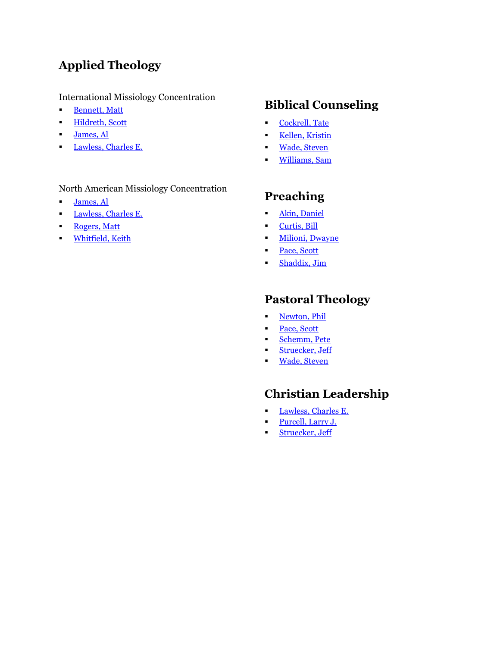# **Applied Theology**

### International Missiology Concentration

- [Bennett, Matt](#page-4-3)
- [Hildreth, Scott](#page-7-3)
- **James**, Al
- **[Lawless, Charles E.](#page-9-2)**

## North American Missiology Concentration

- **·** [James, Al](#page-8-3)
- **[Lawless, Charles E.](#page-9-2)**
- **Rogers**, Matt
- **·** [Whitfield, Keith](#page-15-0)

# **Biblical Counseling**

- [Cockrell, Tate](#page-5-2)
- **Example 1** [Kellen, Kristin](#page-9-3)
- [Wade, Steven](#page-14-2)
- [Williams, Sam](#page-15-2)

# **Preaching**

- **·** [Akin, Daniel](#page-3-2)
- **•** [Curtis, Bill](#page-5-3)
- **I** [Milioni, Dwayne](#page-11-2)
- [Pace, Scott](#page-12-2)
- **Example 1** [Shaddix, Jim](#page-13-2)

# **Pastoral Theology**

- [Newton, Phil](#page-11-3)
- [Pace, Scott](#page-12-2)
- [Schemm, Pete](#page-13-3)
- **Struecker**, Jeff
- **·** [Wade, Steven](#page-14-2)

# **Christian Leadership**

- **[Lawless, Charles E.](#page-9-2)**
- **[Purcell, Larry J.](#page-12-3)**
- **Extracker, Jeff**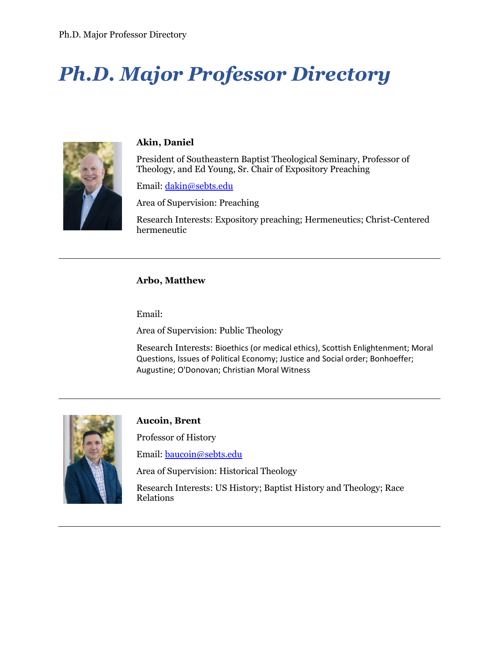# *Ph.D. Major Professor Directory*



#### <span id="page-3-2"></span>**Akin, Daniel**

President of Southeastern Baptist Theological Seminary, Professor of Theology, and Ed Young, Sr. Chair of Expository Preaching

Email: [dakin@sebts.edu](mailto:dakin@sebts.edu)

Area of Supervision: Preaching

Research Interests: Expository preaching; Hermeneutics; Christ-Centered hermeneutic

#### <span id="page-3-1"></span>**Arbo, Matthew**

Email:

Area of Supervision: Public Theology

Research Interests: Bioethics (or medical ethics), Scottish Enlightenment; Moral Questions, Issues of Political Economy; Justice and Social order; Bonhoeffer; Augustine; O'Donovan; Christian Moral Witness



#### <span id="page-3-0"></span>**Aucoin, Brent**

Professor of History

Email: [baucoin@sebts.edu](mailto:baucoin@sebts.edu)

Area of Supervision: Historical Theology

Research Interests: US History; Baptist History and Theology; Race Relations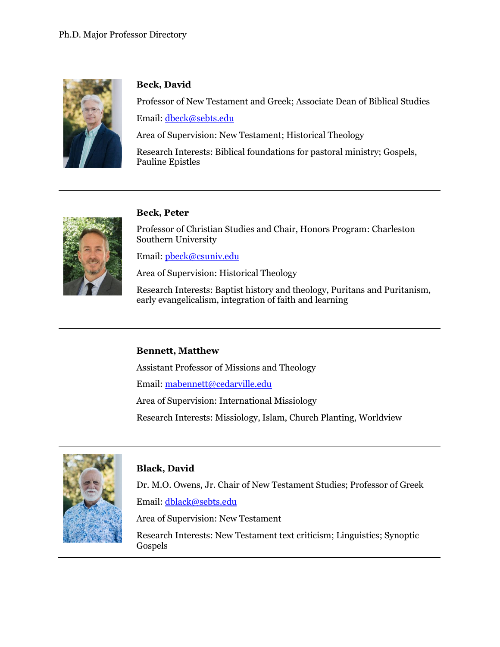

## <span id="page-4-0"></span>**Beck, David**

Professor of New Testament and Greek; Associate Dean of Biblical Studies Email: [dbeck@sebts.edu](mailto:dbeck@sebts.edu)

Area of Supervision: New Testament; Historical Theology

Research Interests: Biblical foundations for pastoral ministry; Gospels, Pauline Epistles



## <span id="page-4-2"></span>**Beck, Peter**

Professor of Christian Studies and Chair, Honors Program: Charleston Southern University

Email: [pbeck@csuniv.edu](mailto:pbeck@csuniv.edu)

Area of Supervision: Historical Theology

Research Interests: Baptist history and theology, Puritans and Puritanism, early evangelicalism, integration of faith and learning

#### <span id="page-4-3"></span>**Bennett, Matthew**

Assistant Professor of Missions and Theology

Email: [mabennett@cedarville.edu](mailto:mabennett@cedarville.edu)

Area of Supervision: International Missiology

Research Interests: Missiology, Islam, Church Planting, Worldview



## <span id="page-4-1"></span>**Black, David**

Dr. M.O. Owens, Jr. Chair of New Testament Studies; Professor of Greek Email: [dblack@sebts.edu](mailto:dblack@sebts.edu)

Area of Supervision: New Testament

Research Interests: New Testament text criticism; Linguistics; Synoptic Gospels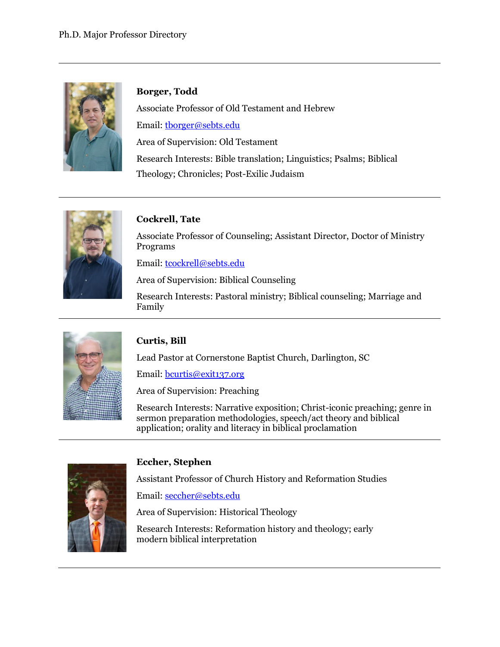

## <span id="page-5-0"></span>**Borger, Todd**

Associate Professor of Old Testament and Hebrew Email: [tborger@sebts.edu](mailto:tborger@sebts.edu) Area of Supervision: Old Testament Research Interests: Bible translation; Linguistics; Psalms; Biblical Theology; Chronicles; Post-Exilic Judaism



## <span id="page-5-2"></span>**Cockrell, Tate**

Associate Professor of Counseling; Assistant Director, Doctor of Ministry Programs

Email: [tcockrell@sebts.edu](mailto:tcockrell@sebts.edu)

Area of Supervision: Biblical Counseling

Research Interests: Pastoral ministry; Biblical counseling; Marriage and Family



## <span id="page-5-3"></span>**Curtis, Bill**

Lead Pastor at Cornerstone Baptist Church, Darlington, SC

Email: [bcurtis@exit137.org](mailto:bcurtis@exit137.org)

Area of Supervision: Preaching

Research Interests: Narrative exposition; Christ-iconic preaching; genre in sermon preparation methodologies, speech/act theory and biblical application; orality and literacy in biblical proclamation



## **Eccher, Stephen**

<span id="page-5-1"></span>Assistant Professor of Church History and Reformation Studies

Email: [seccher@sebts.edu](mailto:seccher@sebts.edu)

Area of Supervision: Historical Theology

Research Interests: Reformation history and theology; early modern biblical interpretation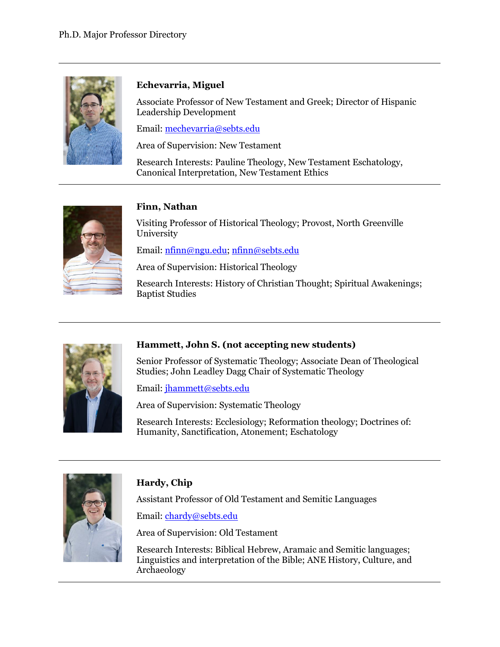

## <span id="page-6-1"></span>**Echevarria, Miguel**

Associate Professor of New Testament and Greek; Director of Hispanic Leadership Development

Email: [mechevarria@sebts.edu](mailto:mechevarria@sebts.edu)

Area of Supervision: New Testament

Research Interests: Pauline Theology, New Testament Eschatology, Canonical Interpretation, New Testament Ethics



#### <span id="page-6-3"></span>**Finn, Nathan**

Visiting Professor of Historical Theology; Provost, North Greenville University

Email: [nfinn@ngu.edu;](mailto:nfinn@ngu.edu) [nfinn@sebts.edu](mailto:nfinn@sebts.edu)

Area of Supervision: Historical Theology

Research Interests: History of Christian Thought; Spiritual Awakenings; Baptist Studies



#### <span id="page-6-2"></span>**Hammett, John S. (not accepting new students)**

Senior Professor of Systematic Theology; Associate Dean of Theological Studies; John Leadley Dagg Chair of Systematic Theology

Email: [jhammett@sebts.edu](mailto:jhammett@sebts.edu)

Area of Supervision: Systematic Theology

Research Interests: Ecclesiology; Reformation theology; Doctrines of: Humanity, Sanctification, Atonement; Eschatology



## <span id="page-6-0"></span>**Hardy, Chip**

Assistant Professor of Old Testament and Semitic Languages

Email: [chardy@sebts.edu](mailto:chardy@sebts.edu)

Area of Supervision: Old Testament

Research Interests: Biblical Hebrew, Aramaic and Semitic languages; Linguistics and interpretation of the Bible; ANE History, Culture, and Archaeology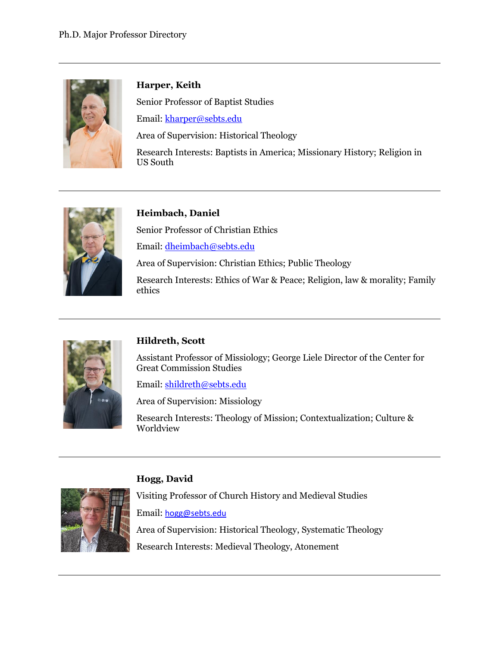

## <span id="page-7-1"></span>**Harper, Keith**

Senior Professor of Baptist Studies

Email: [kharper@sebts.edu](mailto:kharper@sebts.edu)

Area of Supervision: Historical Theology

Research Interests: Baptists in America; Missionary History; Religion in US South



## <span id="page-7-2"></span>**Heimbach, Daniel**

Senior Professor of Christian Ethics

Email: [dheimbach@sebts.edu](mailto:dheimbach@sebts.edu)

Area of Supervision: Christian Ethics; Public Theology

Research Interests: Ethics of War & Peace; Religion, law & morality; Family ethics



## <span id="page-7-3"></span>**Hildreth, Scott**

Assistant Professor of Missiology; George Liele Director of the Center for Great Commission Studies

Email: [shildreth@sebts.edu](mailto:shildreth@sebts.edu) 

Area of Supervision: Missiology

Research Interests: Theology of Mission; Contextualization; Culture & Worldview



## **Hogg, David**

<span id="page-7-0"></span>Visiting Professor of Church History and Medieval Studies

Email: [hogg@sebts.edu](mailto:hogg@sebts.edu)

Area of Supervision: Historical Theology, Systematic Theology Research Interests: Medieval Theology, Atonement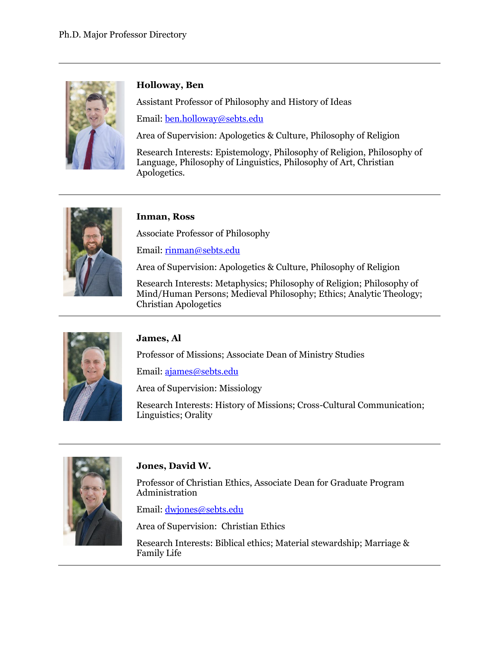

## <span id="page-8-0"></span>**Holloway, Ben**

Assistant Professor of Philosophy and History of Ideas

Email: [ben.holloway@sebts.edu](mailto:ben.holloway@sebts.edu)

Area of Supervision: Apologetics & Culture, Philosophy of Religion

Research Interests: Epistemology, Philosophy of Religion, Philosophy of Language, Philosophy of Linguistics, Philosophy of Art, Christian Apologetics.



#### <span id="page-8-1"></span>**Inman, Ross**

Associate Professor of Philosophy

Email: [rinman@sebts.edu](mailto:rinman@sebts.edu)

Area of Supervision: Apologetics & Culture, Philosophy of Religion

Research Interests: Metaphysics; Philosophy of Religion; Philosophy of Mind/Human Persons; Medieval Philosophy; Ethics; Analytic Theology; Christian Apologetics



## <span id="page-8-3"></span>**James, Al**

Professor of Missions; Associate Dean of Ministry Studies

Email: [ajames@sebts.edu](mailto:ajames@sebts.edu)

Area of Supervision: Missiology

Research Interests: History of Missions; Cross-Cultural Communication; Linguistics; Orality



## <span id="page-8-2"></span>**Jones, David W.**

Professor of Christian Ethics, Associate Dean for Graduate Program Administration

Email: [dwjones@sebts.edu](mailto:dwjones@sebts.edu)

Area of Supervision: Christian Ethics

Research Interests: Biblical ethics; Material stewardship; Marriage & Family Life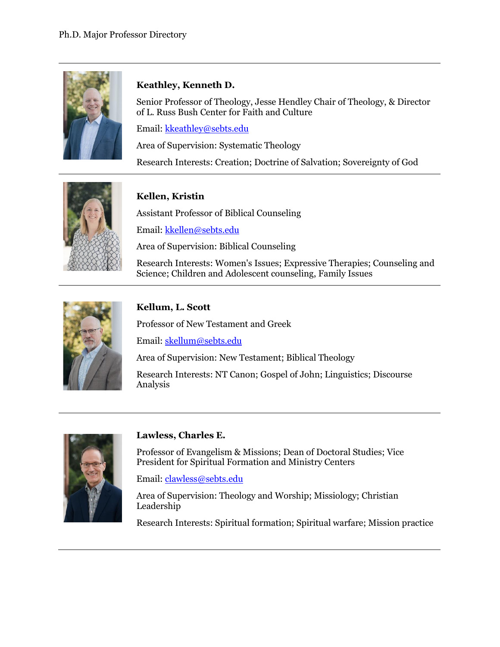

## <span id="page-9-1"></span>**Keathley, Kenneth D.**

Senior Professor of Theology, Jesse Hendley Chair of Theology, & Director of L. Russ Bush Center for Faith and Culture

Email: [kkeathley@sebts.edu](mailto:kkeathley@sebts.edu)

Area of Supervision: Systematic Theology

Research Interests: Creation; Doctrine of Salvation; Sovereignty of God



## <span id="page-9-3"></span>**Kellen, Kristin**

Assistant Professor of Biblical Counseling

Email: [kkellen@sebts.edu](mailto:kkellen@sebts.edu)

Area of Supervision: Biblical Counseling

Research Interests: Women's Issues; Expressive Therapies; Counseling and Science; Children and Adolescent counseling, Family Issues



## <span id="page-9-0"></span>**Kellum, L. Scott**

Professor of New Testament and Greek

Email: [skellum@sebts.edu](mailto:skellum@sebts.edu)

Area of Supervision: New Testament; Biblical Theology

Research Interests: NT Canon; Gospel of John; Linguistics; Discourse Analysis



#### <span id="page-9-2"></span>**Lawless, Charles E.**

Professor of Evangelism & Missions; Dean of Doctoral Studies; Vice President for Spiritual Formation and Ministry Centers

Email: [clawless@sebts.edu](mailto:clawless@sebts.edu)

Area of Supervision: Theology and Worship; Missiology; Christian Leadership

Research Interests: Spiritual formation; Spiritual warfare; Mission practice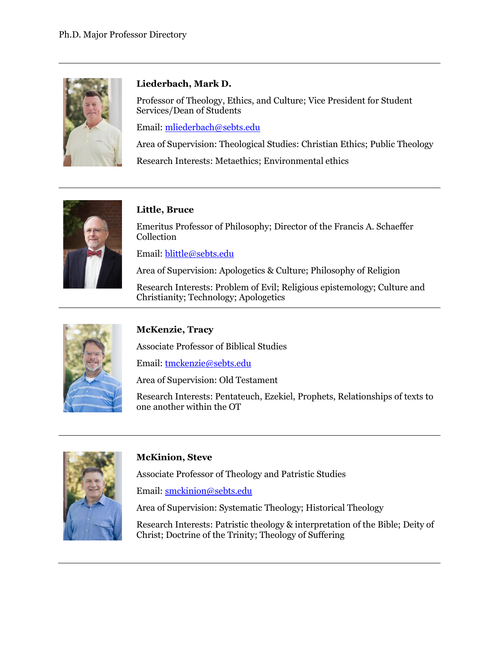

## <span id="page-10-3"></span>**Liederbach, Mark D.**

Professor of Theology, Ethics, and Culture; Vice President for Student Services/Dean of Students

Email: [mliederbach@sebts.edu](mailto:mliederbach@sebts.edu)

Area of Supervision: Theological Studies: Christian Ethics; Public Theology

Research Interests: Metaethics; Environmental ethics



## <span id="page-10-2"></span>**Little, Bruce**

Emeritus Professor of Philosophy; Director of the Francis A. Schaeffer Collection

Email: [blittle@sebts.edu](mailto:blittle@sebts.edu)

Area of Supervision: Apologetics & Culture; Philosophy of Religion

Research Interests: Problem of Evil; Religious epistemology; Culture and Christianity; Technology; Apologetics



## <span id="page-10-0"></span>**McKenzie, Tracy**

Associate Professor of Biblical Studies

Email: [tmckenzie@sebts.edu](mailto:tmckenzie@sebts.edu)

Area of Supervision: Old Testament

Research Interests: Pentateuch, Ezekiel, Prophets, Relationships of texts to one another within the OT



## <span id="page-10-1"></span>**McKinion, Steve**

Associate Professor of Theology and Patristic Studies

Email: [smckinion@sebts.edu](mailto:smckinion@sebts.edu)

Area of Supervision: Systematic Theology; Historical Theology

Research Interests: Patristic theology & interpretation of the Bible; Deity of Christ; Doctrine of the Trinity; Theology of Suffering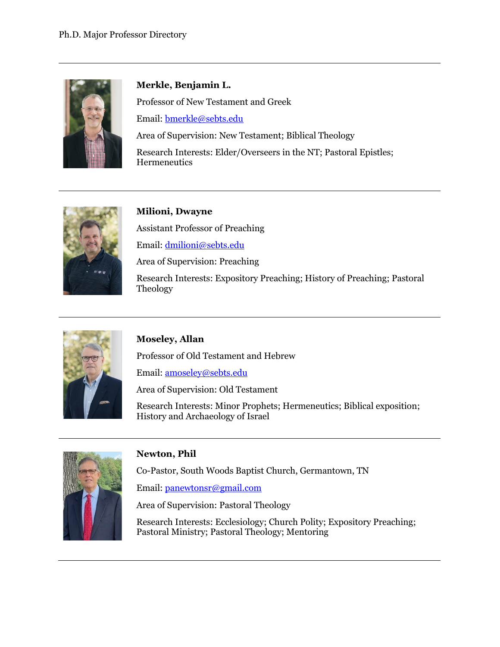

## <span id="page-11-1"></span>**Merkle, Benjamin L.**

Professor of New Testament and Greek

Email: [bmerkle@sebts.edu](mailto:bmerkle@sebts.edu)

Area of Supervision: New Testament; Biblical Theology Research Interests: Elder/Overseers in the NT; Pastoral Epistles; **Hermeneutics** 



## <span id="page-11-2"></span>**Milioni, Dwayne**

Assistant Professor of Preaching

Email: [dmilioni@sebts.edu](mailto:dmilioni@sebts.edu)

Area of Supervision: Preaching

Research Interests: Expository Preaching; History of Preaching; Pastoral Theology



## <span id="page-11-0"></span>**Moseley, Allan**

Professor of Old Testament and Hebrew

Email: [amoseley@sebts.edu](mailto:amoseley@sebts.edu)

Area of Supervision: Old Testament

Research Interests: Minor Prophets; Hermeneutics; Biblical exposition; History and Archaeology of Israel



## <span id="page-11-3"></span>**Newton, Phil**

Co-Pastor, South Woods Baptist Church, Germantown, TN

Email: [panewtonsr@gmail.com](mailto:panewtonsr@gmail.com)

Area of Supervision: Pastoral Theology

Research Interests: Ecclesiology; Church Polity; Expository Preaching; Pastoral Ministry; Pastoral Theology; Mentoring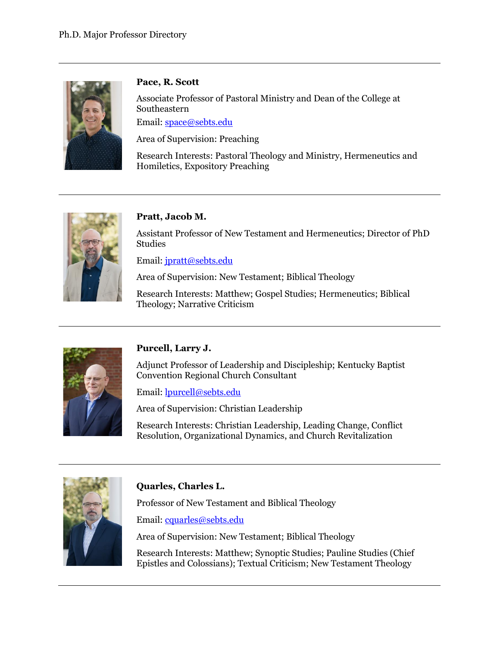

### <span id="page-12-2"></span>**Pace, R. Scott**

Associate Professor of Pastoral Ministry and Dean of the College at Southeastern

Email: [space@sebts.edu](mailto:space@sebts.edu)

Area of Supervision: Preaching

Research Interests: Pastoral Theology and Ministry, Hermeneutics and Homiletics, Expository Preaching



## <span id="page-12-0"></span>**Pratt, Jacob M.**

Assistant Professor of New Testament and Hermeneutics; Director of PhD Studies

Email: [jpratt@sebts.edu](mailto:jpratt@sebts.edu)

Area of Supervision: New Testament; Biblical Theology

Research Interests: Matthew; Gospel Studies; Hermeneutics; Biblical Theology; Narrative Criticism



## <span id="page-12-3"></span>**Purcell, Larry J.**

Adjunct Professor of Leadership and Discipleship; Kentucky Baptist Convention Regional Church Consultant

Email: [lpurcell@sebts.edu](mailto:lpurcell@sebts.edu)

Area of Supervision: Christian Leadership

Research Interests: Christian Leadership, Leading Change, Conflict Resolution, Organizational Dynamics, and Church Revitalization



## <span id="page-12-1"></span>**Quarles, Charles L.**

Professor of New Testament and Biblical Theology

Email: [cquarles@sebts.edu](mailto:cquarles@sebts.edu)

Area of Supervision: New Testament; Biblical Theology

Research Interests: Matthew; Synoptic Studies; Pauline Studies (Chief Epistles and Colossians); Textual Criticism; New Testament Theology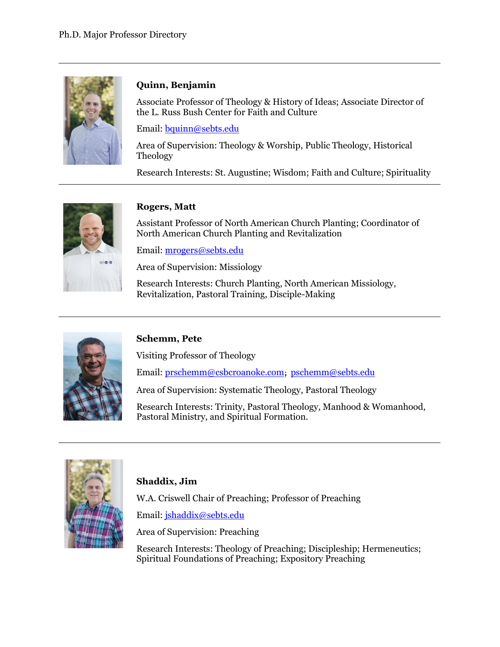

## <span id="page-13-0"></span>**Quinn, Benjamin**

Associate Professor of Theology & History of Ideas; Associate Director of the L. Russ Bush Center for Faith and Culture

Email: [bquinn@sebts.edu](mailto:bquinn@sebts.edu)

Area of Supervision: Theology & Worship, Public Theology, Historical Theology

Research Interests: St. Augustine; Wisdom; Faith and Culture; Spirituality



## <span id="page-13-1"></span>**Rogers, Matt**

Assistant Professor of North American Church Planting; Coordinator of North American Church Planting and Revitalization

Email: [mrogers@sebts.edu](mailto:mrogers@sebts.edu)

Area of Supervision: Missiology

Research Interests: Church Planting, North American Missiology, Revitalization, Pastoral Training, Disciple-Making



#### <span id="page-13-3"></span>**Schemm, Pete**

Visiting Professor of Theology

Email: [prschemm@csbcroanoke.com](mailto:prschemm@csbcroanoke.com); [pschemm@sebts.edu](mailto:pschemm@sebts.edu)

Area of Supervision: Systematic Theology, Pastoral Theology

Research Interests: Trinity, Pastoral Theology, Manhood & Womanhood, Pastoral Ministry, and Spiritual Formation.



## <span id="page-13-2"></span>**Shaddix, Jim**

W.A. Criswell Chair of Preaching; Professor of Preaching

Email: [jshaddix@sebts.edu](mailto:jshaddix@sebts.edu)

Area of Supervision: Preaching

Research Interests: Theology of Preaching; Discipleship; Hermeneutics; Spiritual Foundations of Preaching; Expository Preaching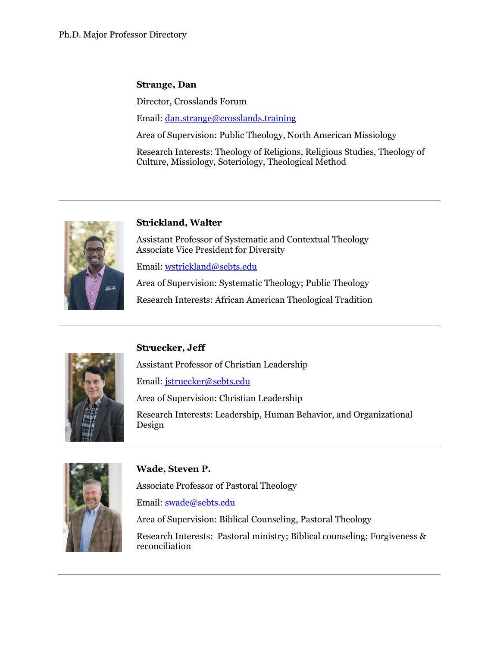### <span id="page-14-1"></span>**Strange, Dan**

Director, Crosslands Forum

Email: [dan.strange@crosslands.training](mailto:dan.strange@crosslands.training)

Area of Supervision: Public Theology, North American Missiology

Research Interests: Theology of Religions, Religious Studies, Theology of Culture, Missiology, Soteriology, Theological Method



#### <span id="page-14-0"></span>**Strickland, Walter**

Assistant Professor of Systematic and Contextual Theology Associate Vice President for Diversity

Email: [wstrickland@sebts.edu](mailto:wstrickland@sebts.edu)

Area of Supervision: Systematic Theology; Public Theology

Research Interests: African American Theological Tradition



## <span id="page-14-3"></span>**Struecker, Jeff**

Assistant Professor of Christian Leadership

Email: [jstruecker@sebts.edu](mailto:jstruecker@sebts.edu)

Area of Supervision: Christian Leadership

Research Interests: Leadership, Human Behavior, and Organizational Design



#### <span id="page-14-2"></span>**Wade, Steven P.**

Associate Professor of Pastoral Theology

Email: [swade@sebts.edu](mailto:swade@sebts.edu)

Area of Supervision: Biblical Counseling, Pastoral Theology

Research Interests: Pastoral ministry; Biblical counseling; Forgiveness & reconciliation